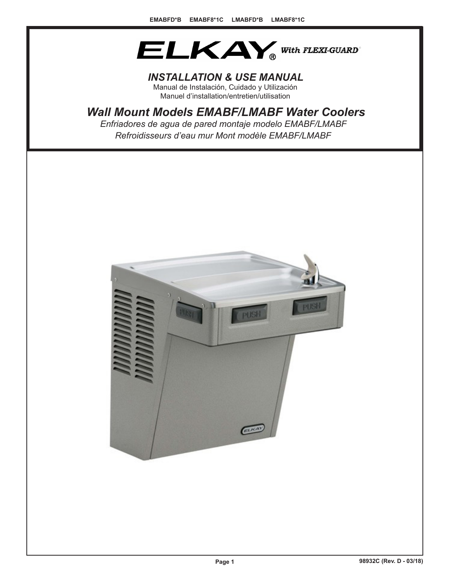

# *INSTALLATION & USE MANUAL*

Manual de Instalación, Cuidado y Utilización Manuel d'installation/entretien/utilisation

# *Wall Mount Models EMABF/LMABF Water Coolers*

*Refroidisseurs d'eau mur Mont modèle EMABF/LMABF Enfriadores de agua de pared montaje modelo EMABF/LMABF*

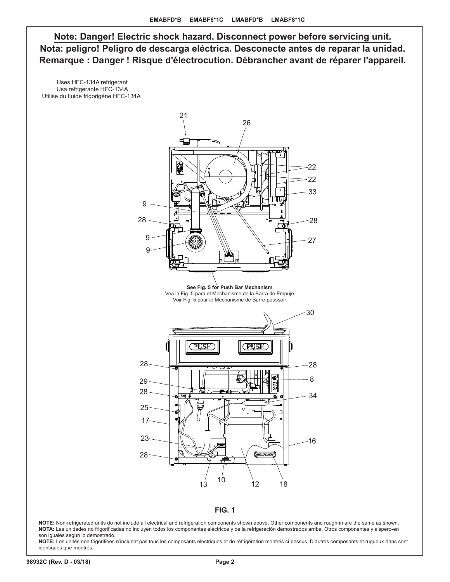**Note: Danger! Electric shock hazard. Disconnect power before servicing unit. Nota: peligro! Peligro de descarga eléctrica. Desconecte antes de reparar la unidad. Remarque : Danger ! Risque d'électrocution. Débrancher avant de réparer l'appareil.**

 Uses HFC-134A refrigerant Usa refrigerante HFC-134A Utilise du fluide frigorigéne HFC-134A





**NOTE:** Non-refrigerated units do not include all electrical and refrigeration components shown above. Other components and rough-in are the same as shown. **NOTA:** Las unidades no frigorificadas no incluyen todos los componentes eléctricos y de la refrigeración demostrados arriba. Otros componentes y a'spero-en son iguales según lo demostrado.

**NOTE:** Les unités non frigorifiées n'incluent pas tous les composants électriques et de réfrigération montrés ci-dessus. D'autres composants et rugueux-dans sont identiques que montrés.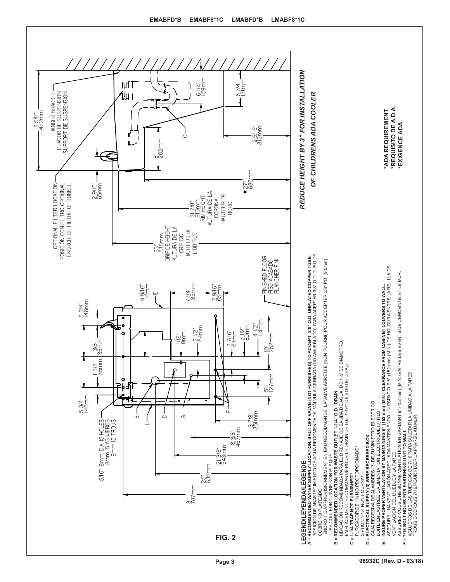

**Page 3 98932C (Rev. D - 03/18)**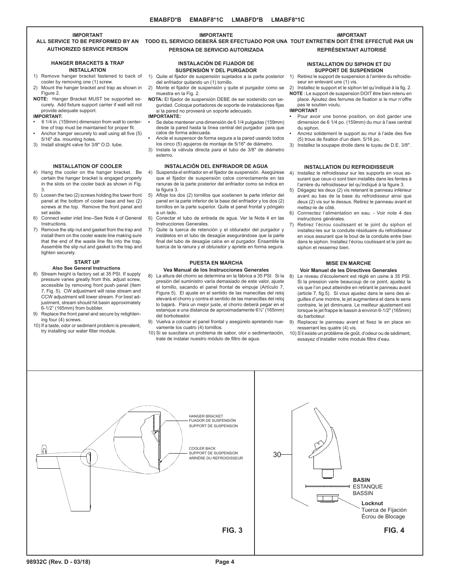# **IMPORTANT**

# **AUTHORIZED SERVICE PERSON**

#### **HANGER BRACKETS & TRAP INSTALLATION**

- 1) Remove hanger bracket fastened to back of cooler by removing one (1) screw.
- 2) Mount the hanger bracket and trap as shown in Figure 2.
- **NOTE:** Hanger Bracket MUST be supported securely. Add fixture support carrier if wall will not provide adequate support.

#### **IMPORTANT:**

- **•** 6 1/4 in. (159mm) dimension from wall to centerline of trap must be maintained for proper fit. **•** Anchor hanger securely to wall using all five (5)
- 5/16" dia. mounting holes. 3) Install straight valve for 3/8" O.D. tube.
- 

### **INSTALLATION OF COOLER**

- 4) Hang the cooler on the hanger bracket. Be certain the hanger bracket is engaged properly in the slots on the cooler back as shown in Fig. 3.
- 5) Loosen the two (2) screws holding the lower front panel at the bottom of cooler base and two (2) screws at the top. Remove the front panel and set aside.
- 6) Connect water inlet line--See Note 4 of General Instructions.
- 7) Remove the slip nut and gasket from the trap and install them on the cooler waste line making sure that the end of the waste line fits into the trap. Assemble the slip nut and gasket to the trap and tighten securely.

# **START UP**

# **Also See General Instructions**

- 8) Stream height is factory set at 35 PSI. If supply pressure varies greatly from this, adjust screw, accessible by removing front push panel (Item 7, Fig. 5). CW adjustment will raise stream and CCW adjustment will lower stream. For best adjustment, stream should hit basin approximately 6-1/2" (165mm) from bubbler.
- 9) Replace the front panel and secure by retightening four (4) screws.
- 10) If a taste, odor or sediment problem is prevalent, try installing our water filter module.

# **IMPORTANTE**

# **PERSONA DE SERVICIO AUTORIZADA**

#### **INSTALACIÓN DE FIJADOR DE SUSPENSIÓN Y DEL PURGADOR**

- 1) Quite el fijador de suspensión sujetados a la parte posterior 1) Retirez le support de suspension à l'arrière du refroidisdel enfriador quitando un (1) tornillo.
- 2) Monte el fijador de suspensión y quite el purgador como se
- muestra en la Fig. 2. **NOTA:** El fijador de suspensión DEBE de ser sostenido con seguridad. Coloque portadores de soporte de instalaciones fijas si la pared no proveerá un soporte adecuado.

#### **IMPORTANTE:**

- **•** Se debe mantener una dimensión de 6 1/4 pulgadas (159mm) desde la pared hasta la línea central del purgador para que calce de forma adecuada.
- **•** Ancle el suspensor de forma segura a la pared usando todos los cinco (5) agujeros de montaje de 5/16" de diámetro.
- 3) Instale la válvula directa para el tubo de 3/8" de diámetro externo.

# **INSTALACIÓN DEL ENFRIADOR DE AGUA**

- 4) Suspenda el enfriador en el fijador de suspensión. Asegúrese que el fijador de suspensión calce correctamente en las ranuras de la parte posterior del enfriador como se indica en la figura 3.
- 5) Afloje los dos (2) tornillos que sostienen la parte inferior del panel en la parte inferior de la base del enfriador y los dos (2) tornillos en la parte superior. Quite el panel frontal y póngalo a un lado.
- 6) Conectar el tubo de entrada de agua. Ver la Nota 4 en las Instrucciones Generales.
- 7) Quite la tuerca de retención y el obturador del purgador y instálelos en el tubo de desagüe asegurándose que la parte final del tubo de desagüe calce en el purgador. Ensamble la tuerca de la ranura y el obturador y apriete en forma segura.

# **PUESTA EN MARCHA**

#### **Vea Manual de los Instrucciones Generales**

- 8) La altura del chorro se determina en la fábrica a 35 PSI. Si la presión del suministro varía demasiado de este valor, ajuste el tornillo, sacando el panel frontal de empuje (Artículo 7, Figura 5). El ajuste en el sentido de las manecillas del reloj elevará el chorro y contra el sentido de las manecillas del reloj lo bajará. Para un mejor juste, el chorro deberá pegar en el estanque a una distancia de aproximadamente 6½" (165mm) del borboteador.
- 9) Vuelva a colocar el panel frontal y asegúrelo apretando nuevamente los cuatro (4) tornillos.
- 10) Si se suscitara un problema de sabor, olor o sedimentación, trate de instalar nuestro módulo de filtro de agua.

#### **IMPORTANT**

**ALL SERVICE TO BE PERFORMED BY AN TODO EL SERVICIO DEBERÁ SER EFECTUADO POR UNA TOUT ENTRETIEN DOIT ÊTRE EFFECTUÉ PAR UN REPRÉSENTANT AUTORISÉ**

#### **INSTALLATION DU SIPHON ET DU SUPPORT DE SUSPENSION**

- seur en enlevant une (1) vis.
- 2) Installez le support et le siphon tel qu'indiqué à la fig. 2. **NOTE** : Le support de suspension DOIT être bien retenu en place. Ajoutez des ferrures de fixation si le mur n'offre pas le soutien voulu.

#### **IMPORTANT** :

- **•** Pour avoir une bonne position, on doit garder une dimension de 6 1/4 po. (159mm) du mur à l'axe central du siphon.
- **•** Ancrez solidement le support au mur à l'aide des five (5) trous de fixation d'un diam. 5/16 po.
- 3) Installez la soupape droite dans le tuyau de D.E. 3/8".

#### **INSTALLATION DU REFROIDISSEUR**

- 4) Installez le refroidisseur sur les supports en vous assurant que ceux-ci sont bien installés dans les fentes à l'arrière du refroidisseur tel qu'indiqué à la figure 3.
- 5) Dégagez les deux (2) vis retenant le panneau inférieur avant au bas de la base du refroidisseur ainsi que deux (2) vis sur le dessus. Retirez le panneau avant et mettez-le de côté.
- 6) Connectez l'alimentation en eau. Voir note 4 des instructions générales.
- 7) Retirez l'écrou coulissant et le joint du siphon et installez-les sur la conduite résiduaire du refroidisseur en vous assurant que le bout de la conduite entre bien dans le siphon. Installez l'écrou coulissant et le joint au siphon et resserrez bien.

### **MISE EN MARCHE**

## **Voir Manuel de les Directives Generales**

- 8) Le niveau d'écoulement est réglé en usine à 35 PSI. Si la pression varie beaucoup de ce point, ajustez la vis que l'on peut atteindre en retirant le panneau avant (article 7, fig.5). Si vous ajustez dans le sens des aiguilles d'une montre, le jet augmentera et dans le sens contraire, le jet diminuera. Le meilleur ajustement est lorsque le jet frappe le bassin à environ 6-1/2" (165mm) du barboteur.
- Replacez le panneau avant et fixez le en place en resserrant les quatre (4) vis.
- 10) S'il existe un problème de goût, d'odeur ou de sédiment, essayez d'installer notre module filtre d'eau.

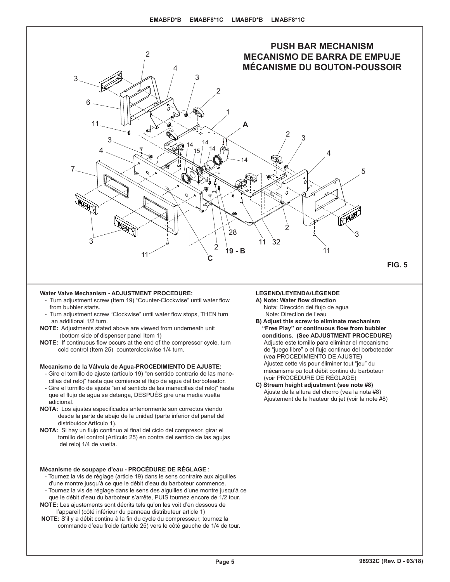

#### **Water Valve Mechanism - ADJUSTMENT PROCEDURE:**

- Turn adjustment screw (Item 19) "Counter-Clockwise" until water flow from bubbler starts.
- Turn adjustment screw "Clockwise" until water flow stops, THEN turn an additional 1/2 turn.
- **NOTE:** Adjustments stated above are viewed from underneath unit (bottom side of dispenser panel Item 1)
- **NOTE:** If continuous flow occurs at the end of the compressor cycle, turn cold control (Item 25) counterclockwise 1/4 turn.

## **Mecanismo de la Válvula de Agua-PROCEDIMIENTO DE AJUSTE:**

- Gire el tornillo de ajuste (artículo 19) "en sentido contrario de las manecillas del reloj" hasta que comience el flujo de agua del borboteador. - Gire el tornillo de ajuste "en el sentido de las manecillas del reloj" hasta que el flujo de agua se detenga, DESPUÉS gire una media vuelta adicional.
- **NOTA:** Los ajustes especificados anteriormente son correctos viendo desde la parte de abajo de la unidad (parte inferior del panel del distribuidor Artículo 1).
- **NOTA:** Si hay un flujo continuo al final del ciclo del compresor, girar el tornillo del control (Artículo 25) en contra del sentido de las agujas del reloj 1/4 de vuelta.

# **Mécanisme de soupape d'eau - PROCÉDURE DE RÉGLAGE** :

- Tournez la vis de réglage (article 19) dans le sens contraire aux aiguilles d'une montre jusqu'à ce que le débit d'eau du barboteur commence.
- Tournez la vis de réglage dans le sens des aiguilles d'une montre jusqu'à ce que le débit d'eau du barboteur s'arrête, PUIS tournez encore de 1/2 tour.
- **NOTE:** Les ajustements sont décrits tels qu'on les voit d'en dessous de l'appareil (côté inférieur du panneau distributeur article 1)
- **NOTE:** S'il y a débit continu à la fin du cycle du compresseur, tournez la commande d'eau froide (article 25) vers le côté gauche de 1/4 de tour.

# **LEGEND/LEYENDA/LÉGENDE**

- **A) Note: Water flow direction** Nota: Dirección del flujo de agua Note: Direction de l'eau
- **B) Adjust this screw to eliminate mechanism "Free Play" or continuous flow from bubbler conditions. (See ADJUSTMENT PROCEDURE)** Adjuste este tornillo para eliminar el mecanismo de "juego libre" o el flujo continuo del borboteador (vea PROCEDIMIENTO DE AJUSTE) Ajustez cette vis pour éliminer tout "jeu" du mécanisme ou tout débit continu du barboteur (voir PROCÉDURE DE RÉGLAGE)
- **C) Stream height adjustment (see note #8)** Ajuste de la altura del chorro (vea la nota #8) Ajustement de la hauteur du jet (voir la note #8)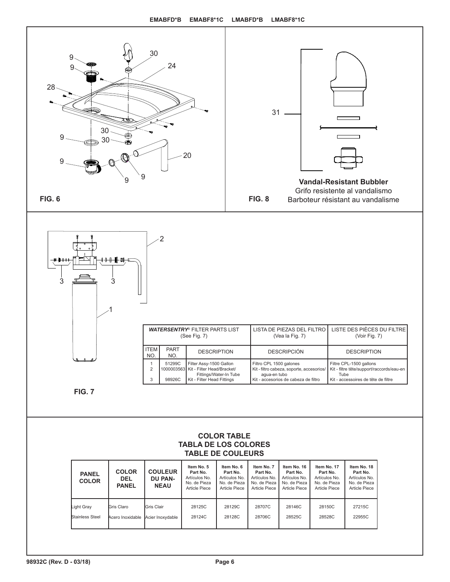

# **COLOR TABLE TABLA DE LOS COLORES TABLE DE COULEURS**

| <b>PANEL</b><br><b>COLOR</b> | <b>COLOR</b><br><b>DEL</b><br><b>PANEL</b> | <b>COULEUR</b><br><b>DU PAN-</b><br><b>NEAU</b> | Item No. 5<br>Part No.<br>Artículos No.<br>No. de Pieza<br>Article Piece | Item No. 6<br>Part No.<br>Artículos No.<br>No. de Pieza<br>Article Piece | Item No. 7<br>Part No.<br>Artículos No.<br>No. de Pieza<br>Article Piece | Item No. 16<br>Part No.<br>Artículos No.<br>No. de Pieza<br>Article Piece | Item No. 17<br>Part No.<br>Artículos No.<br>No. de Pieza<br><b>Article Piece</b> | Item No. 18<br>Part No.<br>Artículos No.<br>No. de Pieza<br>Article Piece |
|------------------------------|--------------------------------------------|-------------------------------------------------|--------------------------------------------------------------------------|--------------------------------------------------------------------------|--------------------------------------------------------------------------|---------------------------------------------------------------------------|----------------------------------------------------------------------------------|---------------------------------------------------------------------------|
| Light Gray                   | Gris Claro                                 | Gris Clair                                      | 28125C                                                                   | 28129C                                                                   | 28707C                                                                   | 28146C                                                                    | 28150C                                                                           | 27215C                                                                    |
| Stainless Steel              | Acero Inoxidable                           | Acier Inoxydable                                | 28124C                                                                   | 28128C                                                                   | 28706C                                                                   | 28525C                                                                    | 28528C                                                                           | 22955C                                                                    |